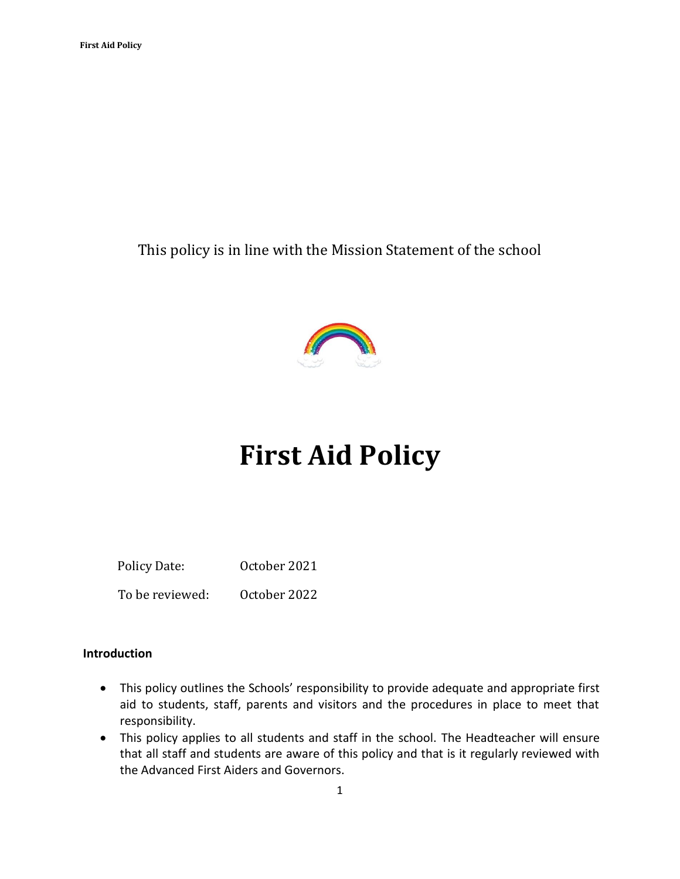This policy is in line with the Mission Statement of the school



# **First Aid Policy**

 Policy Date: October 2021 To be reviewed: October 2022

#### **Introduction**

- This policy outlines the Schools' responsibility to provide adequate and appropriate first aid to students, staff, parents and visitors and the procedures in place to meet that responsibility.
- This policy applies to all students and staff in the school. The Headteacher will ensure that all staff and students are aware of this policy and that is it regularly reviewed with the Advanced First Aiders and Governors.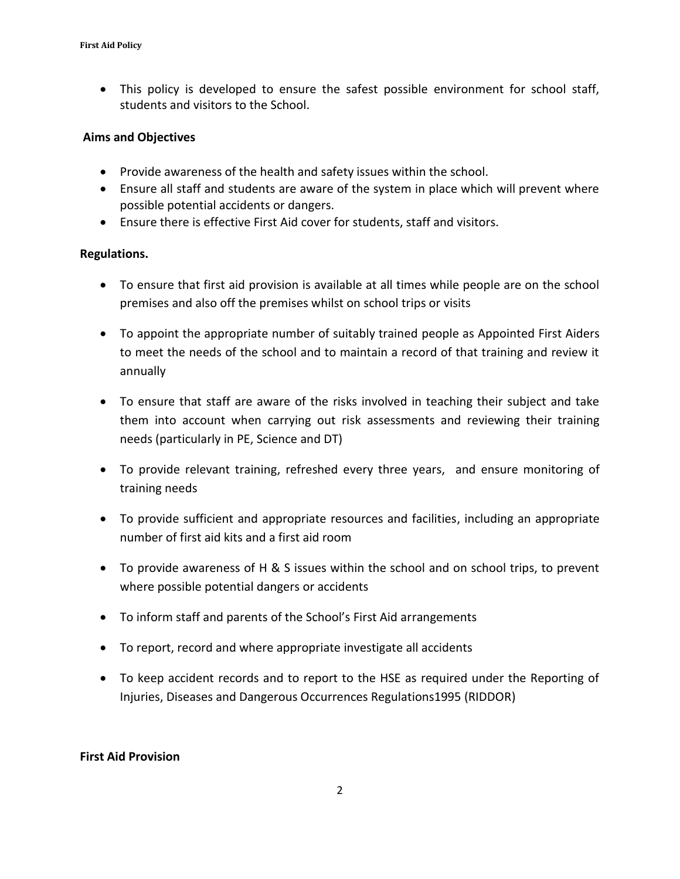• This policy is developed to ensure the safest possible environment for school staff, students and visitors to the School.

#### **Aims and Objectives**

- Provide awareness of the health and safety issues within the school.
- Ensure all staff and students are aware of the system in place which will prevent where possible potential accidents or dangers.
- Ensure there is effective First Aid cover for students, staff and visitors.

#### **Regulations.**

- To ensure that first aid provision is available at all times while people are on the school premises and also off the premises whilst on school trips or visits
- To appoint the appropriate number of suitably trained people as Appointed First Aiders to meet the needs of the school and to maintain a record of that training and review it annually
- To ensure that staff are aware of the risks involved in teaching their subject and take them into account when carrying out risk assessments and reviewing their training needs (particularly in PE, Science and DT)
- To provide relevant training, refreshed every three years, and ensure monitoring of training needs
- To provide sufficient and appropriate resources and facilities, including an appropriate number of first aid kits and a first aid room
- To provide awareness of H & S issues within the school and on school trips, to prevent where possible potential dangers or accidents
- To inform staff and parents of the School's First Aid arrangements
- To report, record and where appropriate investigate all accidents
- To keep accident records and to report to the HSE as required under the Reporting of Injuries, Diseases and Dangerous Occurrences Regulations1995 (RIDDOR)

#### **First Aid Provision**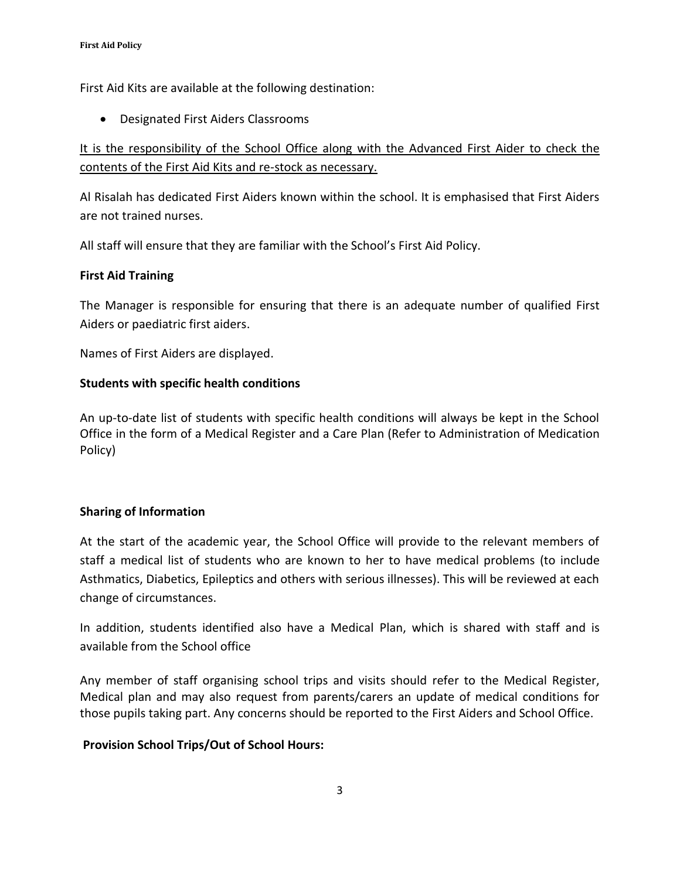First Aid Kits are available at the following destination:

• Designated First Aiders Classrooms

# It is the responsibility of the School Office along with the Advanced First Aider to check the contents of the First Aid Kits and re-stock as necessary.

Al Risalah has dedicated First Aiders known within the school. It is emphasised that First Aiders are not trained nurses.

All staff will ensure that they are familiar with the School's First Aid Policy.

# **First Aid Training**

The Manager is responsible for ensuring that there is an adequate number of qualified First Aiders or paediatric first aiders.

Names of First Aiders are displayed.

# **Students with specific health conditions**

An up-to-date list of students with specific health conditions will always be kept in the School Office in the form of a Medical Register and a Care Plan (Refer to Administration of Medication Policy)

# **Sharing of Information**

At the start of the academic year, the School Office will provide to the relevant members of staff a medical list of students who are known to her to have medical problems (to include Asthmatics, Diabetics, Epileptics and others with serious illnesses). This will be reviewed at each change of circumstances.

In addition, students identified also have a Medical Plan, which is shared with staff and is available from the School office

Any member of staff organising school trips and visits should refer to the Medical Register, Medical plan and may also request from parents/carers an update of medical conditions for those pupils taking part. Any concerns should be reported to the First Aiders and School Office.

# **Provision School Trips/Out of School Hours:**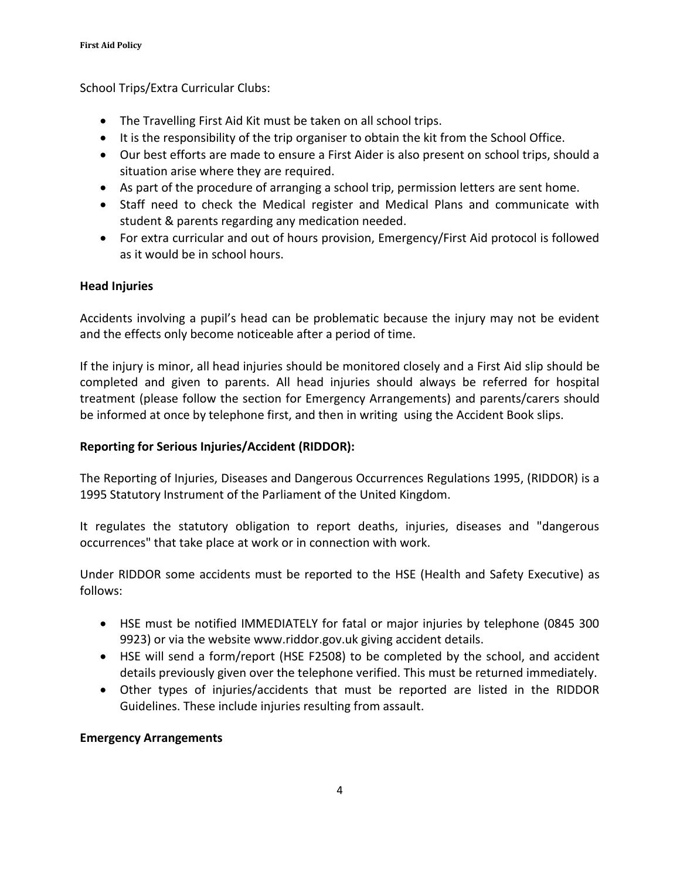School Trips/Extra Curricular Clubs:

- The Travelling First Aid Kit must be taken on all school trips.
- It is the responsibility of the trip organiser to obtain the kit from the School Office.
- Our best efforts are made to ensure a First Aider is also present on school trips, should a situation arise where they are required.
- As part of the procedure of arranging a school trip, permission letters are sent home.
- Staff need to check the Medical register and Medical Plans and communicate with student & parents regarding any medication needed.
- For extra curricular and out of hours provision, Emergency/First Aid protocol is followed as it would be in school hours.

# **Head Injuries**

Accidents involving a pupil's head can be problematic because the injury may not be evident and the effects only become noticeable after a period of time.

If the injury is minor, all head injuries should be monitored closely and a First Aid slip should be completed and given to parents. All head injuries should always be referred for hospital treatment (please follow the section for Emergency Arrangements) and parents/carers should be informed at once by telephone first, and then in writing using the Accident Book slips.

# **Reporting for Serious Injuries/Accident (RIDDOR):**

The Reporting of Injuries, Diseases and Dangerous Occurrences Regulations 1995, (RIDDOR) is a 1995 Statutory Instrument of the Parliament of the United Kingdom.

It regulates the statutory obligation to report deaths, injuries, diseases and "dangerous occurrences" that take place at work or in connection with work.

Under RIDDOR some accidents must be reported to the HSE (Health and Safety Executive) as follows:

- HSE must be notified IMMEDIATELY for fatal or major injuries by telephone (0845 300 9923) or via the website www.riddor.gov.uk giving accident details.
- HSE will send a form/report (HSE F2508) to be completed by the school, and accident details previously given over the telephone verified. This must be returned immediately.
- Other types of injuries/accidents that must be reported are listed in the RIDDOR Guidelines. These include injuries resulting from assault.

# **Emergency Arrangements**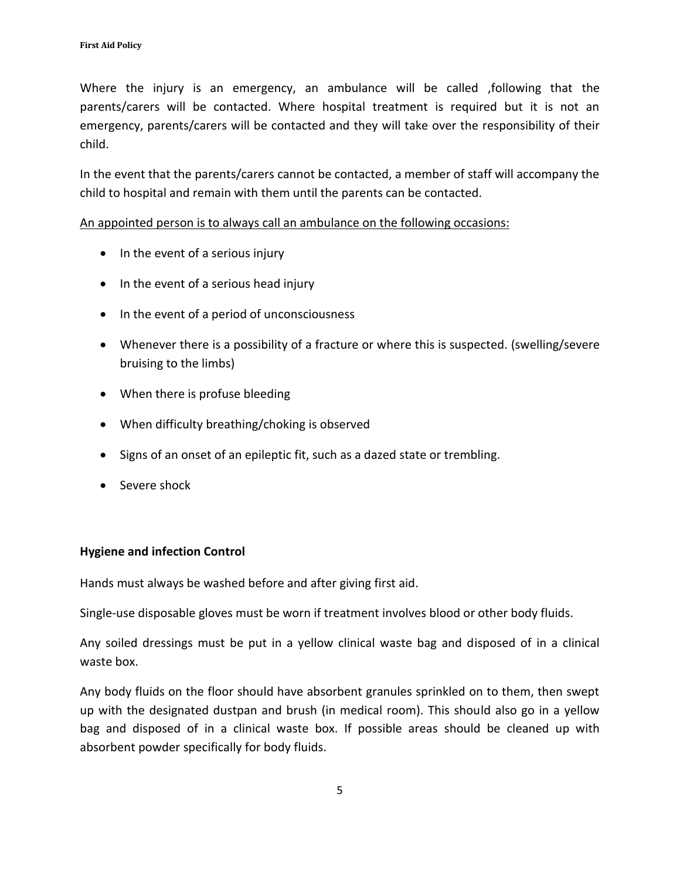Where the injury is an emergency, an ambulance will be called ,following that the parents/carers will be contacted. Where hospital treatment is required but it is not an emergency, parents/carers will be contacted and they will take over the responsibility of their child.

In the event that the parents/carers cannot be contacted, a member of staff will accompany the child to hospital and remain with them until the parents can be contacted.

#### An appointed person is to always call an ambulance on the following occasions:

- In the event of a serious injury
- In the event of a serious head injury
- In the event of a period of unconsciousness
- Whenever there is a possibility of a fracture or where this is suspected. (swelling/severe bruising to the limbs)
- When there is profuse bleeding
- When difficulty breathing/choking is observed
- Signs of an onset of an epileptic fit, such as a dazed state or trembling.
- Severe shock

# **Hygiene and infection Control**

Hands must always be washed before and after giving first aid.

Single-use disposable gloves must be worn if treatment involves blood or other body fluids.

Any soiled dressings must be put in a yellow clinical waste bag and disposed of in a clinical waste box.

Any body fluids on the floor should have absorbent granules sprinkled on to them, then swept up with the designated dustpan and brush (in medical room). This should also go in a yellow bag and disposed of in a clinical waste box. If possible areas should be cleaned up with absorbent powder specifically for body fluids.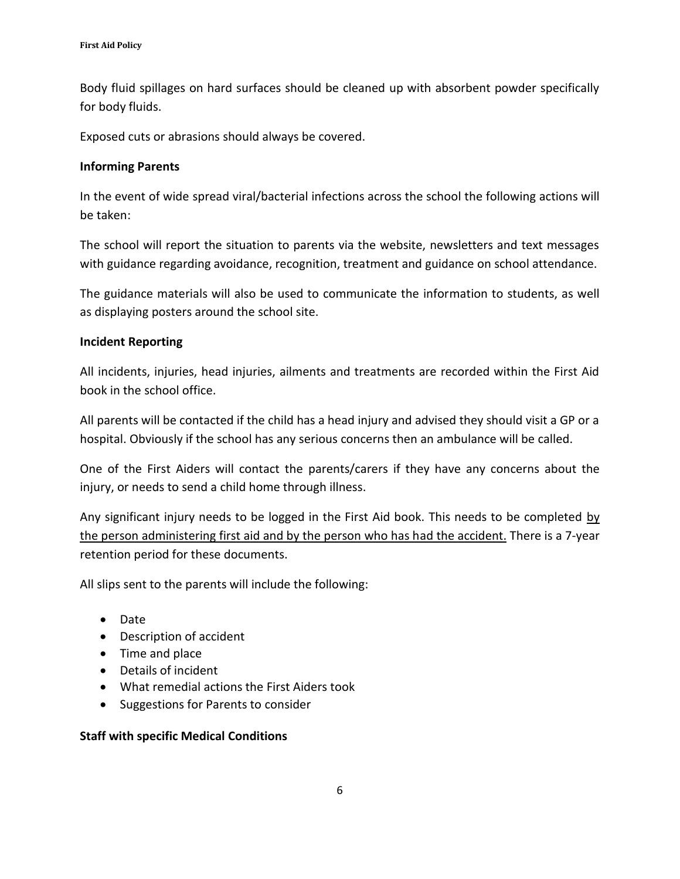Body fluid spillages on hard surfaces should be cleaned up with absorbent powder specifically for body fluids.

Exposed cuts or abrasions should always be covered.

#### **Informing Parents**

In the event of wide spread viral/bacterial infections across the school the following actions will be taken:

The school will report the situation to parents via the website, newsletters and text messages with guidance regarding avoidance, recognition, treatment and guidance on school attendance.

The guidance materials will also be used to communicate the information to students, as well as displaying posters around the school site.

# **Incident Reporting**

All incidents, injuries, head injuries, ailments and treatments are recorded within the First Aid book in the school office.

All parents will be contacted if the child has a head injury and advised they should visit a GP or a hospital. Obviously if the school has any serious concerns then an ambulance will be called.

One of the First Aiders will contact the parents/carers if they have any concerns about the injury, or needs to send a child home through illness.

Any significant injury needs to be logged in the First Aid book. This needs to be completed by the person administering first aid and by the person who has had the accident. There is a 7-year retention period for these documents.

All slips sent to the parents will include the following:

- Date
- Description of accident
- Time and place
- Details of incident
- What remedial actions the First Aiders took
- Suggestions for Parents to consider

# **Staff with specific Medical Conditions**